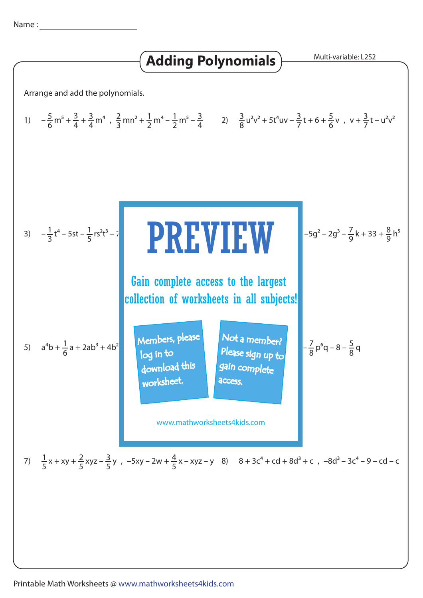